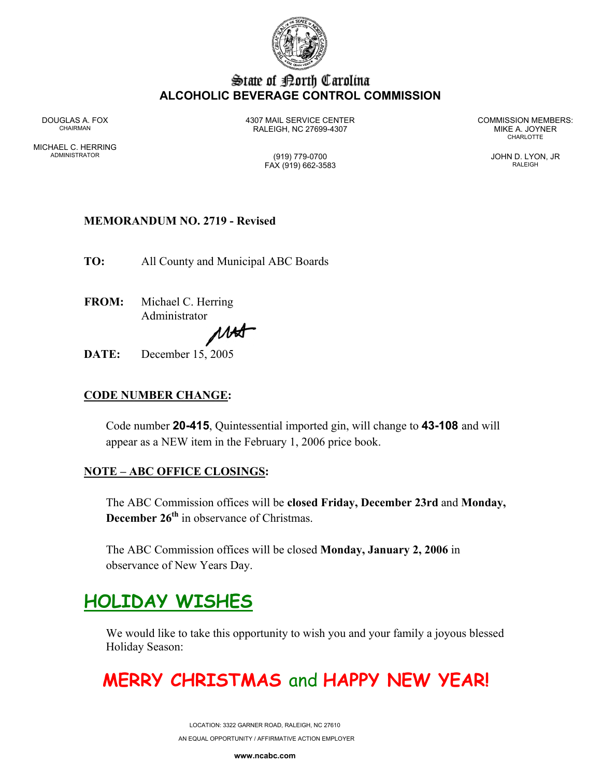

### State of Borth Carolina **ALCOHOLIC BEVERAGE CONTROL COMMISSION**

MICHAEL C. HERRING ADMINISTRATOR (919) 779-0700 JOHN D. LYON, JR

DOUGLAS A. FOX 4307 MAIL SERVICE CENTER COMMISSION MEMBERS: CHAIRMAN RALEIGH, NC 27699-4307 MIKE A. JOYNER

**CHARLOTTE** 

FAX (919) 662-3583 RALEIGH

## **MEMORANDUM NO. 2719 - Revised**

**TO:** All County and Municipal ABC Boards

**FROM:** Michael C. Herring Administrator

MAS

**DATE:** December 15, 2005

## **CODE NUMBER CHANGE:**

Code number **20-415**, Quintessential imported gin, will change to **43-108** and will appear as a NEW item in the February 1, 2006 price book.

#### **NOTE – ABC OFFICE CLOSINGS:**

The ABC Commission offices will be **closed Friday, December 23rd** and **Monday, December 26<sup>th</sup>** in observance of Christmas.

The ABC Commission offices will be closed **Monday, January 2, 2006** in observance of New Years Day.

## **HOLIDAY WISHES**

We would like to take this opportunity to wish you and your family a joyous blessed Holiday Season:

# **MERRY CHRISTMAS** and **HAPPY NEW YEAR!**

LOCATION: 3322 GARNER ROAD, RALEIGH, NC 27610 AN EQUAL OPPORTUNITY / AFFIRMATIVE ACTION EMPLOYER

**www.ncabc.com**